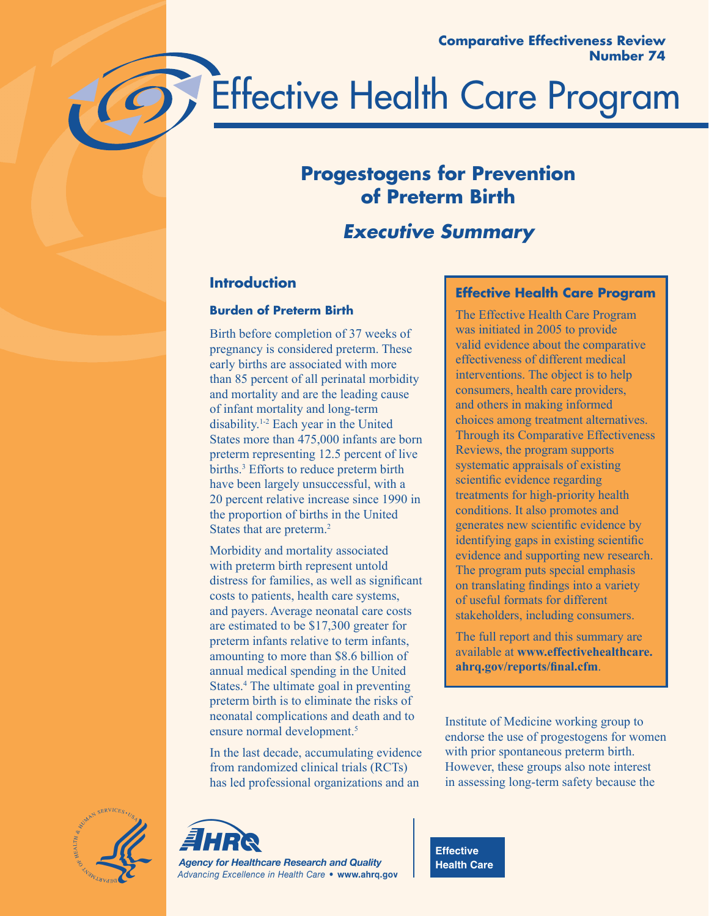



# **Progestogens for Prevention of Preterm Birth**

# *Executive Summary*

# **Introduction**

## **Burden of Preterm Birth**

Birth before completion of 37 weeks of pregnancy is considered preterm. These early births are associated with more than 85 percent of all perinatal morbidity and mortality and are the leading cause of infant mortality and long-term disability.1-2 Each year in the United States more than 475,000 infants are born preterm representing 12.5 percent of live births.<sup>3</sup> Efforts to reduce preterm birth have been largely unsuccessful, with a 20 percent relative increase since 1990 in the proportion of births in the United States that are preterm.2

Morbidity and mortality associated with preterm birth represent untold distress for families, as well as significant costs to patients, health care systems, and payers. Average neonatal care costs are estimated to be \$17,300 greater for preterm infants relative to term infants, amounting to more than \$8.6 billion of annual medical spending in the United States.<sup>4</sup> The ultimate goal in preventing preterm birth is to eliminate the risks of neonatal complications and death and to ensure normal development.<sup>5</sup>

In the last decade, accumulating evidence from randomized clinical trials (RCTs) has led professional organizations and an

# **Effective Health Care Program**

The Effective Health Care Program was initiated in 2005 to provide valid evidence about the comparative effectiveness of different medical interventions. The object is to help consumers, health care providers, and others in making informed choices among treatment alternatives. Through its Comparative Effectiveness Reviews, the program supports systematic appraisals of existing scientific evidence regarding treatments for high-priority health conditions. It also promotes and generates new scientific evidence by identifying gaps in existing scientific evidence and supporting new research. The program puts special emphasis on translating findings into a variety of useful formats for different stakeholders, including consumers.

The full report and this summary are available at **www.effectivehealthcare. ahrq.gov/reports/final.cfm**.

Institute of Medicine working group to endorse the use of progestogens for women with prior spontaneous preterm birth. However, these groups also note interest in assessing long-term safety because the





**Effective Health Care**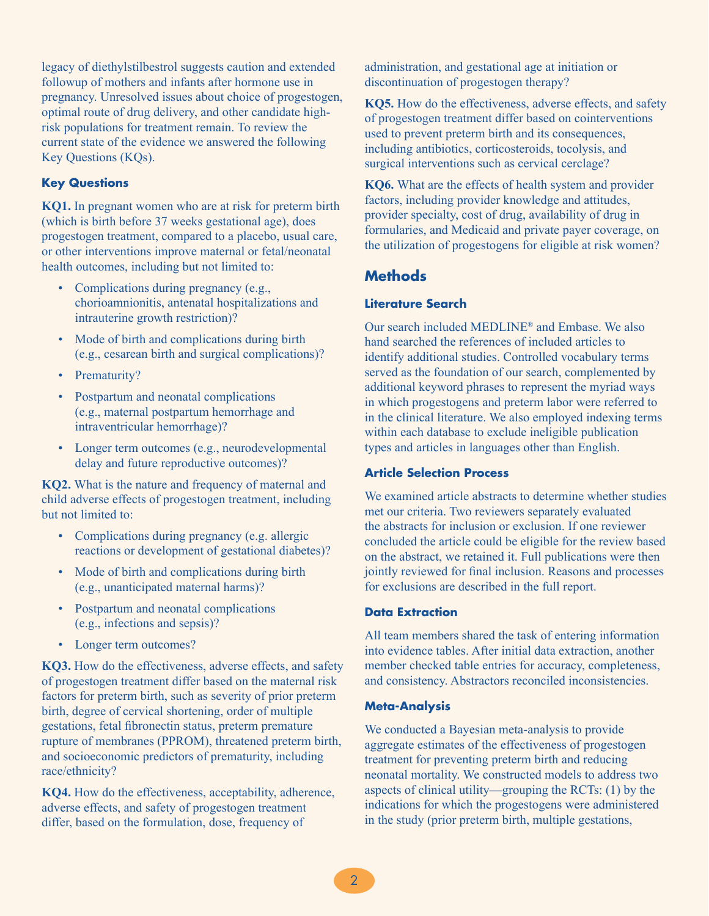legacy of diethylstilbestrol suggests caution and extended followup of mothers and infants after hormone use in pregnancy. Unresolved issues about choice of progestogen, optimal route of drug delivery, and other candidate highrisk populations for treatment remain. To review the current state of the evidence we answered the following Key Questions (KQs).

#### **Key Questions**

**KQ1.** In pregnant women who are at risk for preterm birth (which is birth before 37 weeks gestational age), does progestogen treatment, compared to a placebo, usual care, or other interventions improve maternal or fetal/neonatal health outcomes, including but not limited to:

- Complications during pregnancy (e.g., chorioamnionitis, antenatal hospitalizations and intrauterine growth restriction)?
- Mode of birth and complications during birth (e.g., cesarean birth and surgical complications)?
- Prematurity?
- Postpartum and neonatal complications (e.g., maternal postpartum hemorrhage and intraventricular hemorrhage)?
- Longer term outcomes (e.g., neurodevelopmental delay and future reproductive outcomes)?

**KQ2.** What is the nature and frequency of maternal and child adverse effects of progestogen treatment, including but not limited to:

- Complications during pregnancy (e.g. allergic reactions or development of gestational diabetes)?
- Mode of birth and complications during birth (e.g., unanticipated maternal harms)?
- Postpartum and neonatal complications (e.g., infections and sepsis)?
- Longer term outcomes?

**KQ3.** How do the effectiveness, adverse effects, and safety of progestogen treatment differ based on the maternal risk factors for preterm birth, such as severity of prior preterm birth, degree of cervical shortening, order of multiple gestations, fetal fibronectin status, preterm premature rupture of membranes (PPROM), threatened preterm birth, and socioeconomic predictors of prematurity, including race/ethnicity?

**KQ4.** How do the effectiveness, acceptability, adherence, adverse effects, and safety of progestogen treatment differ, based on the formulation, dose, frequency of

administration, and gestational age at initiation or discontinuation of progestogen therapy?

**KQ5.** How do the effectiveness, adverse effects, and safety of progestogen treatment differ based on cointerventions used to prevent preterm birth and its consequences, including antibiotics, corticosteroids, tocolysis, and surgical interventions such as cervical cerclage?

**KQ6.** What are the effects of health system and provider factors, including provider knowledge and attitudes, provider specialty, cost of drug, availability of drug in formularies, and Medicaid and private payer coverage, on the utilization of progestogens for eligible at risk women?

# **Methods**

#### **Literature Search**

Our search included MEDLINE® and Embase. We also hand searched the references of included articles to identify additional studies. Controlled vocabulary terms served as the foundation of our search, complemented by additional keyword phrases to represent the myriad ways in which progestogens and preterm labor were referred to in the clinical literature. We also employed indexing terms within each database to exclude ineligible publication types and articles in languages other than English.

## **Article Selection Process**

We examined article abstracts to determine whether studies met our criteria. Two reviewers separately evaluated the abstracts for inclusion or exclusion. If one reviewer concluded the article could be eligible for the review based on the abstract, we retained it. Full publications were then jointly reviewed for final inclusion. Reasons and processes for exclusions are described in the full report.

#### **Data Extraction**

All team members shared the task of entering information into evidence tables. After initial data extraction, another member checked table entries for accuracy, completeness, and consistency. Abstractors reconciled inconsistencies.

#### **Meta-Analysis**

We conducted a Bayesian meta-analysis to provide aggregate estimates of the effectiveness of progestogen treatment for preventing preterm birth and reducing neonatal mortality. We constructed models to address two aspects of clinical utility—grouping the RCTs: (1) by the indications for which the progestogens were administered in the study (prior preterm birth, multiple gestations,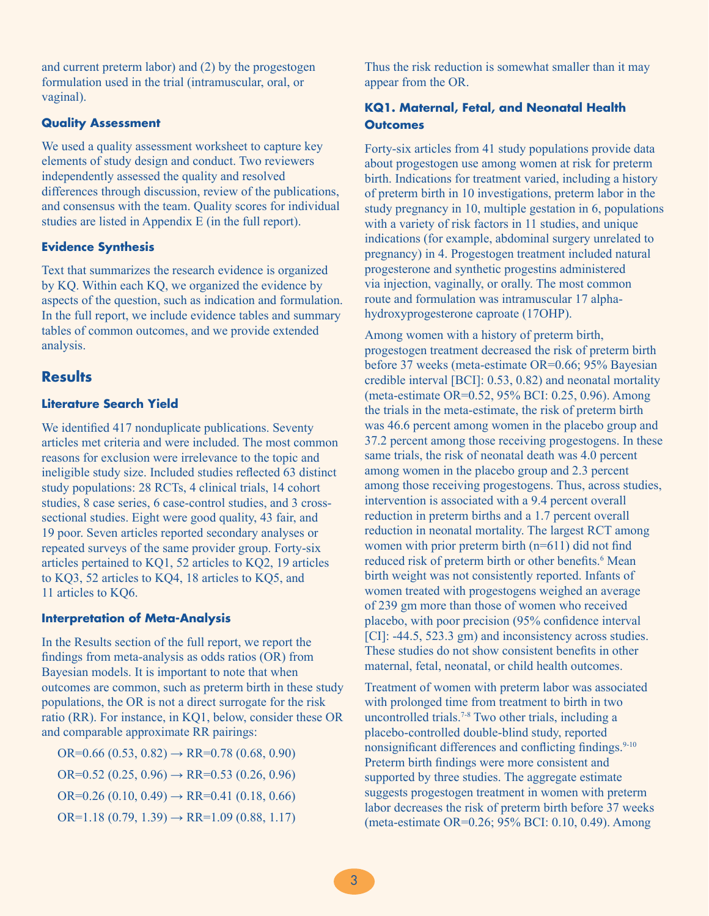and current preterm labor) and (2) by the progestogen formulation used in the trial (intramuscular, oral, or vaginal).

#### **Quality Assessment**

We used a quality assessment worksheet to capture key elements of study design and conduct. Two reviewers independently assessed the quality and resolved differences through discussion, review of the publications, and consensus with the team. Quality scores for individual studies are listed in Appendix E (in the full report).

## **Evidence Synthesis**

Text that summarizes the research evidence is organized by KQ. Within each KQ, we organized the evidence by aspects of the question, such as indication and formulation. In the full report, we include evidence tables and summary tables of common outcomes, and we provide extended analysis.

# **Results**

## **Literature Search Yield**

We identified 417 nonduplicate publications. Seventy articles met criteria and were included. The most common reasons for exclusion were irrelevance to the topic and ineligible study size. Included studies reflected 63 distinct study populations: 28 RCTs, 4 clinical trials, 14 cohort studies, 8 case series, 6 case-control studies, and 3 crosssectional studies. Eight were good quality, 43 fair, and 19 poor. Seven articles reported secondary analyses or repeated surveys of the same provider group. Forty-six articles pertained to KQ1, 52 articles to KQ2, 19 articles to KQ3, 52 articles to KQ4, 18 articles to KQ5, and 11 articles to KQ6.

## **Interpretation of Meta-Analysis**

In the Results section of the full report, we report the findings from meta-analysis as odds ratios (OR) from Bayesian models. It is important to note that when outcomes are common, such as preterm birth in these study populations, the OR is not a direct surrogate for the risk ratio (RR). For instance, in KQ1, below, consider these OR and comparable approximate RR pairings:

OR=0.66  $(0.53, 0.82) \rightarrow \text{RR}=0.78$   $(0.68, 0.90)$ OR=0.52 (0.25, 0.96)  $\rightarrow$  RR=0.53 (0.26, 0.96)  $OR=0.26(0.10, 0.49) \rightarrow RR=0.41(0.18, 0.66)$  $OR=1.18(0.79, 1.39) \rightarrow RR=1.09(0.88, 1.17)$ 

Thus the risk reduction is somewhat smaller than it may appear from the OR.

## **KQ1. Maternal, Fetal, and Neonatal Health Outcomes**

Forty-six articles from 41 study populations provide data about progestogen use among women at risk for preterm birth. Indications for treatment varied, including a history of preterm birth in 10 investigations, preterm labor in the study pregnancy in 10, multiple gestation in 6, populations with a variety of risk factors in 11 studies, and unique indications (for example, abdominal surgery unrelated to pregnancy) in 4. Progestogen treatment included natural progesterone and synthetic progestins administered via injection, vaginally, or orally. The most common route and formulation was intramuscular 17 alphahydroxyprogesterone caproate (17OHP).

Among women with a history of preterm birth, progestogen treatment decreased the risk of preterm birth before 37 weeks (meta-estimate OR=0.66; 95% Bayesian credible interval [BCI]: 0.53, 0.82) and neonatal mortality (meta-estimate OR=0.52, 95% BCI: 0.25, 0.96). Among the trials in the meta-estimate, the risk of preterm birth was 46.6 percent among women in the placebo group and 37.2 percent among those receiving progestogens. In these same trials, the risk of neonatal death was 4.0 percent among women in the placebo group and 2.3 percent among those receiving progestogens. Thus, across studies, intervention is associated with a 9.4 percent overall reduction in preterm births and a 1.7 percent overall reduction in neonatal mortality. The largest RCT among women with prior preterm birth (n=611) did not find reduced risk of preterm birth or other benefits.<sup>6</sup> Mean birth weight was not consistently reported. Infants of women treated with progestogens weighed an average of 239 gm more than those of women who received placebo, with poor precision (95% confidence interval [CI]: -44.5, 523.3 gm) and inconsistency across studies. These studies do not show consistent benefits in other maternal, fetal, neonatal, or child health outcomes.

Treatment of women with preterm labor was associated with prolonged time from treatment to birth in two uncontrolled trials.7-8 Two other trials, including a placebo-controlled double-blind study, reported nonsignificant differences and conflicting findings.<sup>9-10</sup> Preterm birth findings were more consistent and supported by three studies. The aggregate estimate suggests progestogen treatment in women with preterm labor decreases the risk of preterm birth before 37 weeks (meta-estimate OR=0.26; 95% BCI: 0.10, 0.49). Among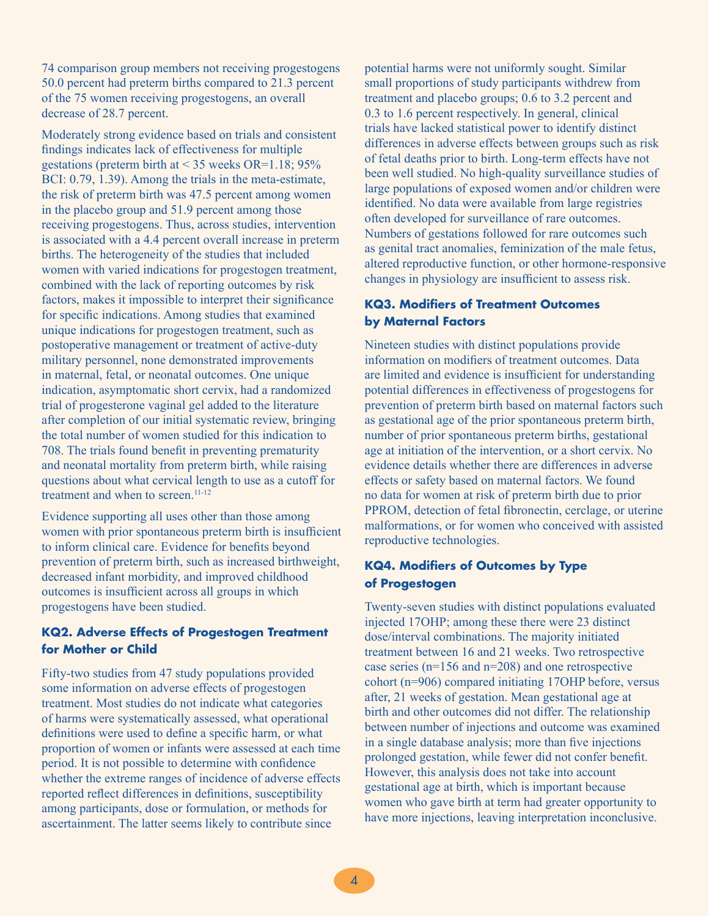74 comparison group members not receiving progestogens 50.0 percent had preterm births compared to 21.3 percent of the 75 women receiving progestogens, an overall decrease of 28.7 percent.

Moderately strong evidence based on trials and consistent findings indicates lack of effectiveness for multiple gestations (preterm birth at  $<$  35 weeks OR=1.18; 95% BCI: 0.79, 1.39). Among the trials in the meta-estimate, the risk of preterm birth was 47.5 percent among women in the placebo group and 51.9 percent among those receiving progestogens. Thus, across studies, intervention is associated with a 4.4 percent overall increase in preterm births. The heterogeneity of the studies that included women with varied indications for progestogen treatment, combined with the lack of reporting outcomes by risk factors, makes it impossible to interpret their significance for specific indications. Among studies that examined unique indications for progestogen treatment, such as postoperative management or treatment of active-duty military personnel, none demonstrated improvements in maternal, fetal, or neonatal outcomes. One unique indication, asymptomatic short cervix, had a randomized trial of progesterone vaginal gel added to the literature after completion of our initial systematic review, bringing the total number of women studied for this indication to 708. The trials found benefit in preventing prematurity and neonatal mortality from preterm birth, while raising questions about what cervical length to use as a cutoff for treatment and when to screen.<sup>11-12</sup>

Evidence supporting all uses other than those among women with prior spontaneous preterm birth is insufficient to inform clinical care. Evidence for benefits beyond prevention of preterm birth, such as increased birthweight, decreased infant morbidity, and improved childhood outcomes is insufficient across all groups in which progestogens have been studied.

## **KQ2. Adverse Effects of Progestogen Treatment for Mother or Child**

Fifty-two studies from 47 study populations provided some information on adverse effects of progestogen treatment. Most studies do not indicate what categories of harms were systematically assessed, what operational definitions were used to define a specific harm, or what proportion of women or infants were assessed at each time period. It is not possible to determine with confidence whether the extreme ranges of incidence of adverse effects reported reflect differences in definitions, susceptibility among participants, dose or formulation, or methods for ascertainment. The latter seems likely to contribute since

potential harms were not uniformly sought. Similar small proportions of study participants withdrew from treatment and placebo groups; 0.6 to 3.2 percent and 0.3 to 1.6 percent respectively. In general, clinical trials have lacked statistical power to identify distinct differences in adverse effects between groups such as risk of fetal deaths prior to birth. Long-term effects have not been well studied. No high-quality surveillance studies of large populations of exposed women and/or children were identified. No data were available from large registries often developed for surveillance of rare outcomes. Numbers of gestations followed for rare outcomes such as genital tract anomalies, feminization of the male fetus, altered reproductive function, or other hormone-responsive changes in physiology are insufficient to assess risk.

# **KQ3. Modifiers of Treatment Outcomes by Maternal Factors**

Nineteen studies with distinct populations provide information on modifiers of treatment outcomes. Data are limited and evidence is insufficient for understanding potential differences in effectiveness of progestogens for prevention of preterm birth based on maternal factors such as gestational age of the prior spontaneous preterm birth, number of prior spontaneous preterm births, gestational age at initiation of the intervention, or a short cervix. No evidence details whether there are differences in adverse effects or safety based on maternal factors. We found no data for women at risk of preterm birth due to prior PPROM, detection of fetal fibronectin, cerclage, or uterine malformations, or for women who conceived with assisted reproductive technologies.

# **KQ4. Modifiers of Outcomes by Type of Progestogen**

Twenty-seven studies with distinct populations evaluated injected 17OHP; among these there were 23 distinct dose/interval combinations. The majority initiated treatment between 16 and 21 weeks. Two retrospective case series (n=156 and n=208) and one retrospective cohort (n=906) compared initiating 17OHP before, versus after, 21 weeks of gestation. Mean gestational age at birth and other outcomes did not differ. The relationship between number of injections and outcome was examined in a single database analysis; more than five injections prolonged gestation, while fewer did not confer benefit. However, this analysis does not take into account gestational age at birth, which is important because women who gave birth at term had greater opportunity to have more injections, leaving interpretation inconclusive.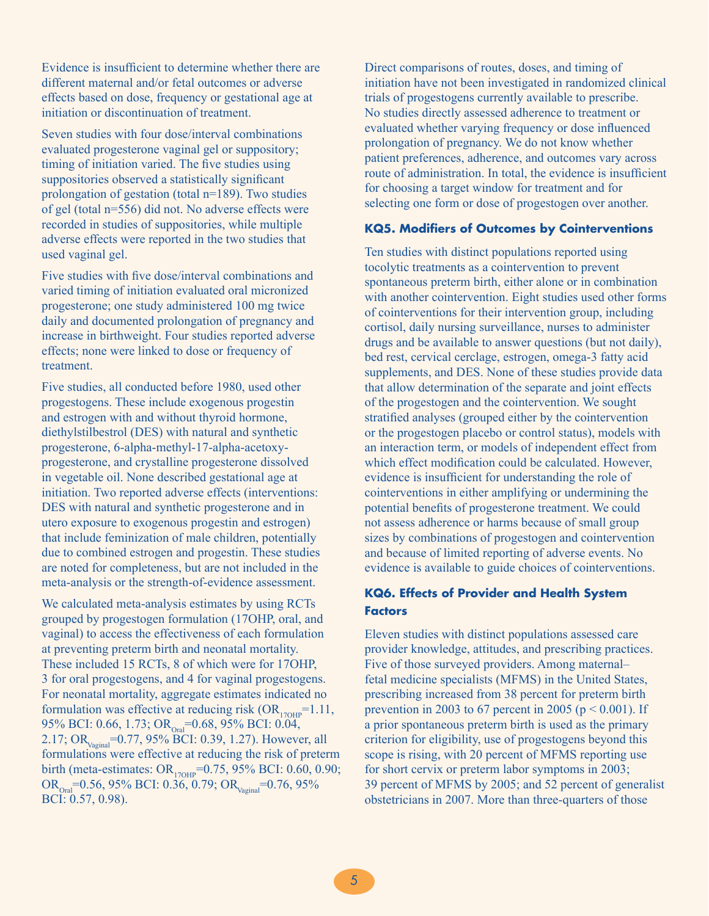Evidence is insufficient to determine whether there are different maternal and/or fetal outcomes or adverse effects based on dose, frequency or gestational age at initiation or discontinuation of treatment.

Seven studies with four dose/interval combinations evaluated progesterone vaginal gel or suppository; timing of initiation varied. The five studies using suppositories observed a statistically significant prolongation of gestation (total n=189). Two studies of gel (total n=556) did not. No adverse effects were recorded in studies of suppositories, while multiple adverse effects were reported in the two studies that used vaginal gel.

Five studies with five dose/interval combinations and varied timing of initiation evaluated oral micronized progesterone; one study administered 100 mg twice daily and documented prolongation of pregnancy and increase in birthweight. Four studies reported adverse effects; none were linked to dose or frequency of treatment.

Five studies, all conducted before 1980, used other progestogens. These include exogenous progestin and estrogen with and without thyroid hormone, diethylstilbestrol (DES) with natural and synthetic progesterone, 6-alpha-methyl-17-alpha-acetoxyprogesterone, and crystalline progesterone dissolved in vegetable oil. None described gestational age at initiation. Two reported adverse effects (interventions: DES with natural and synthetic progesterone and in utero exposure to exogenous progestin and estrogen) that include feminization of male children, potentially due to combined estrogen and progestin. These studies are noted for completeness, but are not included in the meta-analysis or the strength-of-evidence assessment.

We calculated meta-analysis estimates by using RCTs grouped by progestogen formulation (17OHP, oral, and vaginal) to access the effectiveness of each formulation at preventing preterm birth and neonatal mortality. These included 15 RCTs, 8 of which were for 17OHP, 3 for oral progestogens, and 4 for vaginal progestogens. For neonatal mortality, aggregate estimates indicated no formulation was effective at reducing risk  $(OR<sub>170HP</sub>=1.11,$ 95% BCI: 0.66, 1.73; OR<sub>Oral</sub>=0.68, 95% BCI: 0.04, 2.17; OR<sub>Vagina</sub>=0.77, 95% BCI: 0.39, 1.27). However, all formulations were effective at reducing the risk of preterm birth (meta-estimates:  $OR_{17OHP} = 0.75$ , 95% BCI: 0.60, 0.90;  $OR_{\text{Oral}}=0.56$ , 95% BCI: 0.36, 0.79;  $OR_{\text{Vaginal}}=0.76$ , 95% BCI: 0.57, 0.98).

Direct comparisons of routes, doses, and timing of initiation have not been investigated in randomized clinical trials of progestogens currently available to prescribe. No studies directly assessed adherence to treatment or evaluated whether varying frequency or dose influenced prolongation of pregnancy. We do not know whether patient preferences, adherence, and outcomes vary across route of administration. In total, the evidence is insufficient for choosing a target window for treatment and for selecting one form or dose of progestogen over another.

#### **KQ5. Modifiers of Outcomes by Cointerventions**

Ten studies with distinct populations reported using tocolytic treatments as a cointervention to prevent spontaneous preterm birth, either alone or in combination with another cointervention. Eight studies used other forms of cointerventions for their intervention group, including cortisol, daily nursing surveillance, nurses to administer drugs and be available to answer questions (but not daily), bed rest, cervical cerclage, estrogen, omega-3 fatty acid supplements, and DES. None of these studies provide data that allow determination of the separate and joint effects of the progestogen and the cointervention. We sought stratified analyses (grouped either by the cointervention or the progestogen placebo or control status), models with an interaction term, or models of independent effect from which effect modification could be calculated. However, evidence is insufficient for understanding the role of cointerventions in either amplifying or undermining the potential benefits of progesterone treatment. We could not assess adherence or harms because of small group sizes by combinations of progestogen and cointervention and because of limited reporting of adverse events. No evidence is available to guide choices of cointerventions.

## **KQ6. Effects of Provider and Health System Factors**

Eleven studies with distinct populations assessed care provider knowledge, attitudes, and prescribing practices. Five of those surveyed providers. Among maternal– fetal medicine specialists (MFMS) in the United States, prescribing increased from 38 percent for preterm birth prevention in 2003 to 67 percent in 2005 ( $p \le 0.001$ ). If a prior spontaneous preterm birth is used as the primary criterion for eligibility, use of progestogens beyond this scope is rising, with 20 percent of MFMS reporting use for short cervix or preterm labor symptoms in 2003; 39 percent of MFMS by 2005; and 52 percent of generalist obstetricians in 2007. More than three-quarters of those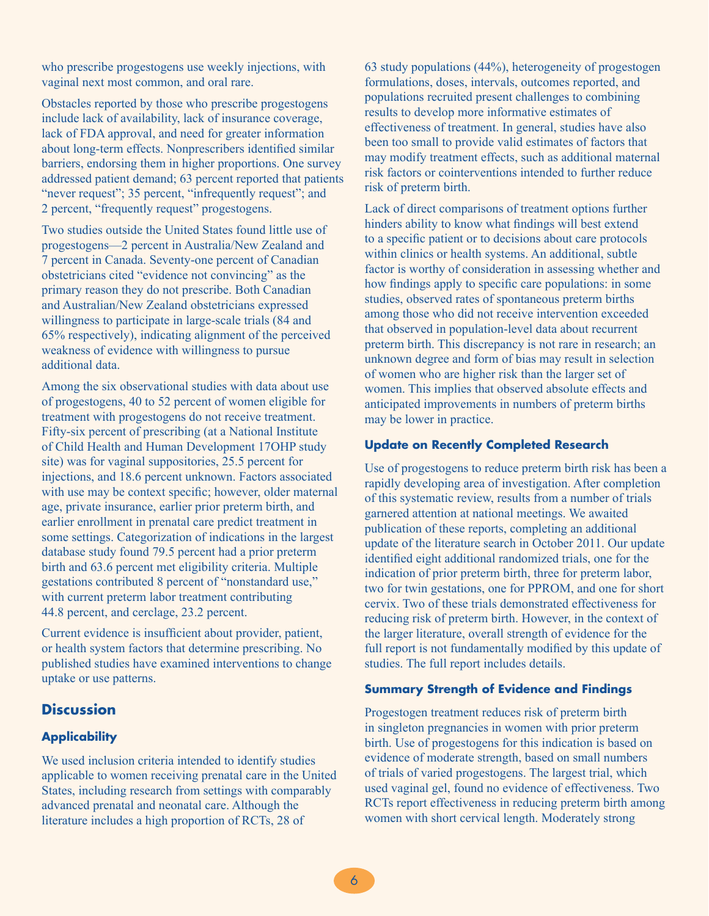who prescribe progestogens use weekly injections, with vaginal next most common, and oral rare.

Obstacles reported by those who prescribe progestogens include lack of availability, lack of insurance coverage, lack of FDA approval, and need for greater information about long-term effects. Nonprescribers identified similar barriers, endorsing them in higher proportions. One survey addressed patient demand; 63 percent reported that patients "never request"; 35 percent, "infrequently request"; and 2 percent, "frequently request" progestogens.

Two studies outside the United States found little use of progestogens—2 percent in Australia/New Zealand and 7 percent in Canada. Seventy-one percent of Canadian obstetricians cited "evidence not convincing" as the primary reason they do not prescribe. Both Canadian and Australian/New Zealand obstetricians expressed willingness to participate in large-scale trials (84 and 65% respectively), indicating alignment of the perceived weakness of evidence with willingness to pursue additional data.

Among the six observational studies with data about use of progestogens, 40 to 52 percent of women eligible for treatment with progestogens do not receive treatment. Fifty-six percent of prescribing (at a National Institute of Child Health and Human Development 17OHP study site) was for vaginal suppositories, 25.5 percent for injections, and 18.6 percent unknown. Factors associated with use may be context specific; however, older maternal age, private insurance, earlier prior preterm birth, and earlier enrollment in prenatal care predict treatment in some settings. Categorization of indications in the largest database study found 79.5 percent had a prior preterm birth and 63.6 percent met eligibility criteria. Multiple gestations contributed 8 percent of "nonstandard use," with current preterm labor treatment contributing 44.8 percent, and cerclage, 23.2 percent.

Current evidence is insufficient about provider, patient, or health system factors that determine prescribing. No published studies have examined interventions to change uptake or use patterns.

# **Discussion**

## **Applicability**

We used inclusion criteria intended to identify studies applicable to women receiving prenatal care in the United States, including research from settings with comparably advanced prenatal and neonatal care. Although the literature includes a high proportion of RCTs, 28 of

63 study populations (44%), heterogeneity of progestogen formulations, doses, intervals, outcomes reported, and populations recruited present challenges to combining results to develop more informative estimates of effectiveness of treatment. In general, studies have also been too small to provide valid estimates of factors that may modify treatment effects, such as additional maternal risk factors or cointerventions intended to further reduce risk of preterm birth.

Lack of direct comparisons of treatment options further hinders ability to know what findings will best extend to a specific patient or to decisions about care protocols within clinics or health systems. An additional, subtle factor is worthy of consideration in assessing whether and how findings apply to specific care populations: in some studies, observed rates of spontaneous preterm births among those who did not receive intervention exceeded that observed in population-level data about recurrent preterm birth. This discrepancy is not rare in research; an unknown degree and form of bias may result in selection of women who are higher risk than the larger set of women. This implies that observed absolute effects and anticipated improvements in numbers of preterm births may be lower in practice.

#### **Update on Recently Completed Research**

Use of progestogens to reduce preterm birth risk has been a rapidly developing area of investigation. After completion of this systematic review, results from a number of trials garnered attention at national meetings. We awaited publication of these reports, completing an additional update of the literature search in October 2011. Our update identified eight additional randomized trials, one for the indication of prior preterm birth, three for preterm labor, two for twin gestations, one for PPROM, and one for short cervix. Two of these trials demonstrated effectiveness for reducing risk of preterm birth. However, in the context of the larger literature, overall strength of evidence for the full report is not fundamentally modified by this update of studies. The full report includes details.

#### **Summary Strength of Evidence and Findings**

Progestogen treatment reduces risk of preterm birth in singleton pregnancies in women with prior preterm birth. Use of progestogens for this indication is based on evidence of moderate strength, based on small numbers of trials of varied progestogens. The largest trial, which used vaginal gel, found no evidence of effectiveness. Two RCTs report effectiveness in reducing preterm birth among women with short cervical length. Moderately strong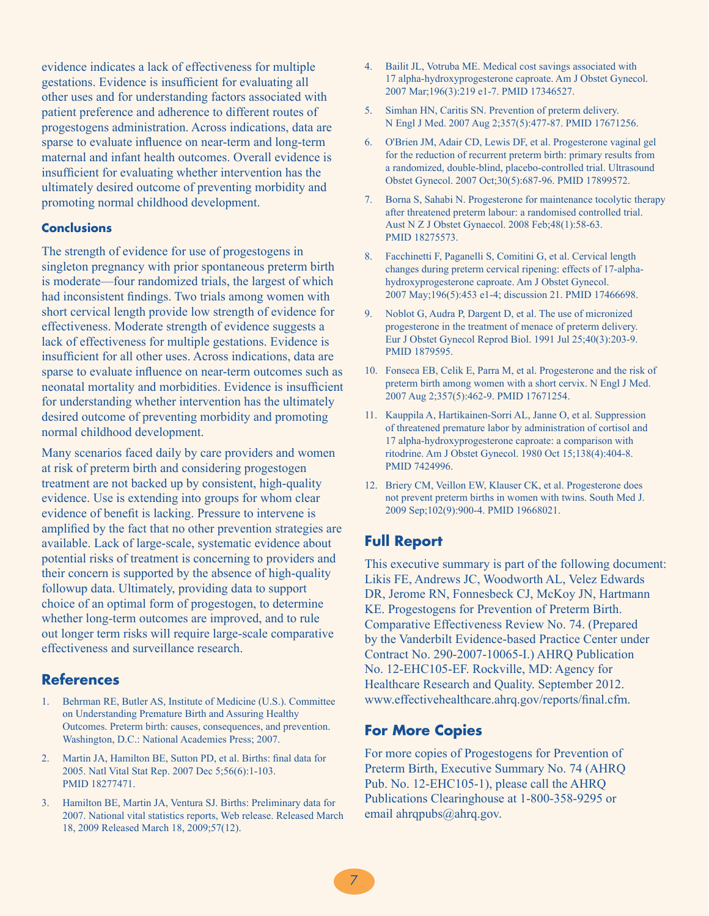evidence indicates a lack of effectiveness for multiple gestations. Evidence is insufficient for evaluating all other uses and for understanding factors associated with patient preference and adherence to different routes of progestogens administration. Across indications, data are sparse to evaluate influence on near-term and long-term maternal and infant health outcomes. Overall evidence is insufficient for evaluating whether intervention has the ultimately desired outcome of preventing morbidity and promoting normal childhood development.

### **Conclusions**

The strength of evidence for use of progestogens in singleton pregnancy with prior spontaneous preterm birth is moderate—four randomized trials, the largest of which had inconsistent findings. Two trials among women with short cervical length provide low strength of evidence for effectiveness. Moderate strength of evidence suggests a lack of effectiveness for multiple gestations. Evidence is insufficient for all other uses. Across indications, data are sparse to evaluate influence on near-term outcomes such as neonatal mortality and morbidities. Evidence is insufficient for understanding whether intervention has the ultimately desired outcome of preventing morbidity and promoting normal childhood development.

Many scenarios faced daily by care providers and women at risk of preterm birth and considering progestogen treatment are not backed up by consistent, high-quality evidence. Use is extending into groups for whom clear evidence of benefit is lacking. Pressure to intervene is amplified by the fact that no other prevention strategies are available. Lack of large-scale, systematic evidence about potential risks of treatment is concerning to providers and their concern is supported by the absence of high-quality followup data. Ultimately, providing data to support choice of an optimal form of progestogen, to determine whether long-term outcomes are improved, and to rule out longer term risks will require large-scale comparative effectiveness and surveillance research.

## **References**

- 1. Behrman RE, Butler AS, Institute of Medicine (U.S.). Committee on Understanding Premature Birth and Assuring Healthy Outcomes. Preterm birth: causes, consequences, and prevention. Washington, D.C.: National Academies Press; 2007.
- 2. Martin JA, Hamilton BE, Sutton PD, et al. Births: final data for 2005. Natl Vital Stat Rep. 2007 Dec 5;56(6):1-103. PMID 18277471.
- 3. Hamilton BE, Martin JA, Ventura SJ. Births: Preliminary data for 2007. National vital statistics reports, Web release. Released March 18, 2009 Released March 18, 2009;57(12).
- 4. Bailit JL, Votruba ME. Medical cost savings associated with 17 alpha-hydroxyprogesterone caproate. Am J Obstet Gynecol. 2007 Mar;196(3):219 e1-7. PMID 17346527.
- 5. Simhan HN, Caritis SN. Prevention of preterm delivery. N Engl J Med. 2007 Aug 2;357(5):477-87. PMID 17671256.
- 6. O'Brien JM, Adair CD, Lewis DF, et al. Progesterone vaginal gel for the reduction of recurrent preterm birth: primary results from a randomized, double-blind, placebo-controlled trial. Ultrasound Obstet Gynecol. 2007 Oct;30(5):687-96. PMID 17899572.
- 7. Borna S, Sahabi N. Progesterone for maintenance tocolytic therapy after threatened preterm labour: a randomised controlled trial. Aust N Z J Obstet Gynaecol. 2008 Feb;48(1):58-63. PMID 18275573.
- 8. Facchinetti F, Paganelli S, Comitini G, et al. Cervical length changes during preterm cervical ripening: effects of 17-alphahydroxyprogesterone caproate. Am J Obstet Gynecol. 2007 May;196(5):453 e1-4; discussion 21. PMID 17466698.
- 9. Noblot G, Audra P, Dargent D, et al. The use of micronized progesterone in the treatment of menace of preterm delivery. Eur J Obstet Gynecol Reprod Biol. 1991 Jul 25;40(3):203-9. PMID 1879595.
- 10. Fonseca EB, Celik E, Parra M, et al. Progesterone and the risk of preterm birth among women with a short cervix. N Engl J Med. 2007 Aug 2;357(5):462-9. PMID 17671254.
- 11. Kauppila A, Hartikainen-Sorri AL, Janne O, et al. Suppression of threatened premature labor by administration of cortisol and 17 alpha-hydroxyprogesterone caproate: a comparison with ritodrine. Am J Obstet Gynecol. 1980 Oct 15;138(4):404-8. PMID 7424996.
- 12. Briery CM, Veillon EW, Klauser CK, et al. Progesterone does not prevent preterm births in women with twins. South Med J. 2009 Sep;102(9):900-4. PMID 19668021.

## **Full Report**

This executive summary is part of the following document: Likis FE, Andrews JC, Woodworth AL, Velez Edwards DR, Jerome RN, Fonnesbeck CJ, McKoy JN, Hartmann KE. Progestogens for Prevention of Preterm Birth. Comparative Effectiveness Review No. 74. (Prepared by the Vanderbilt Evidence-based Practice Center under Contract No. 290-2007-10065-I.) AHRQ Publication No. 12-EHC105-EF. Rockville, MD: Agency for Healthcare Research and Quality. September 2012. www.effectivehealthcare.ahrq.gov/reports/final.cfm.

#### **For More Copies**

For more copies of Progestogens for Prevention of Preterm Birth, Executive Summary No. 74 (AHRQ Pub. No. 12-EHC105-1), please call the AHRQ Publications Clearinghouse at 1-800-358-9295 or email ahrqpubs@ahrq.gov.